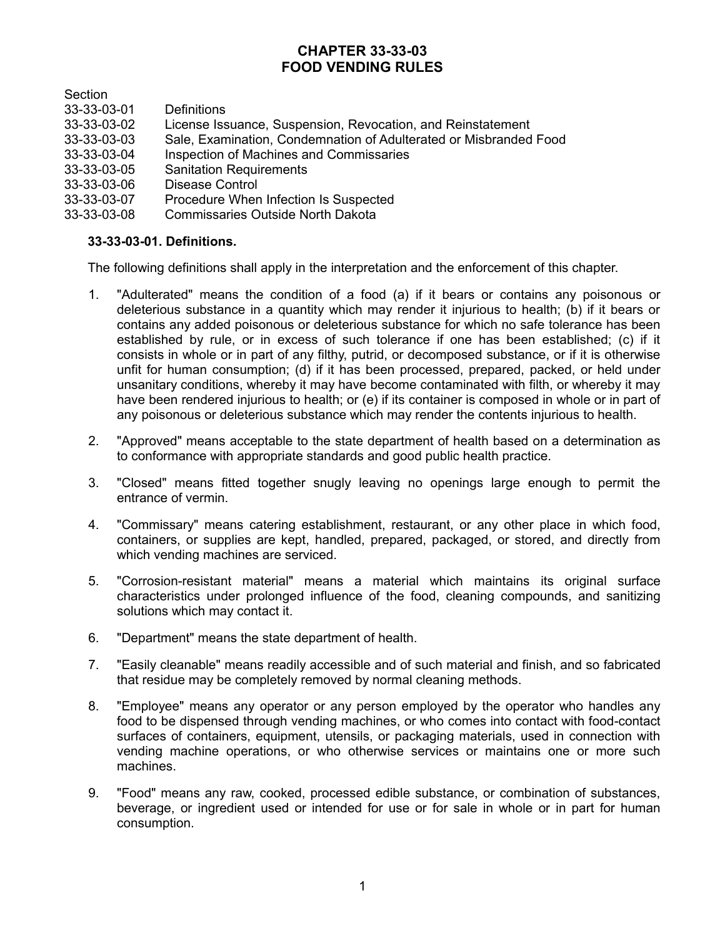# **CHAPTER 33-33-03 FOOD VENDING RULES**

Section

- 33-33-03-01 Definitions
- License Issuance, Suspension, Revocation, and Reinstatement
- 33-33-03-03 Sale, Examination, Condemnation of Adulterated or Misbranded Food
- 33-33-03-04 Inspection of Machines and Commissaries
- 33-33-03-05 Sanitation Requirements
- 33-33-03-06 Disease Control
- 33-33-03-07 Procedure When Infection Is Suspected
- 33-33-03-08 Commissaries Outside North Dakota

# **33-33-03-01. Definitions.**

The following definitions shall apply in the interpretation and the enforcement of this chapter.

- 1. "Adulterated" means the condition of a food (a) if it bears or contains any poisonous or deleterious substance in a quantity which may render it injurious to health; (b) if it bears or contains any added poisonous or deleterious substance for which no safe tolerance has been established by rule, or in excess of such tolerance if one has been established; (c) if it consists in whole or in part of any filthy, putrid, or decomposed substance, or if it is otherwise unfit for human consumption; (d) if it has been processed, prepared, packed, or held under unsanitary conditions, whereby it may have become contaminated with filth, or whereby it may have been rendered injurious to health; or (e) if its container is composed in whole or in part of any poisonous or deleterious substance which may render the contents injurious to health.
- 2. "Approved" means acceptable to the state department of health based on a determination as to conformance with appropriate standards and good public health practice.
- 3. "Closed" means fitted together snugly leaving no openings large enough to permit the entrance of vermin.
- 4. "Commissary" means catering establishment, restaurant, or any other place in which food, containers, or supplies are kept, handled, prepared, packaged, or stored, and directly from which vending machines are serviced.
- 5. "Corrosion-resistant material" means a material which maintains its original surface characteristics under prolonged influence of the food, cleaning compounds, and sanitizing solutions which may contact it.
- 6. "Department" means the state department of health.
- 7. "Easily cleanable" means readily accessible and of such material and finish, and so fabricated that residue may be completely removed by normal cleaning methods.
- 8. "Employee" means any operator or any person employed by the operator who handles any food to be dispensed through vending machines, or who comes into contact with food-contact surfaces of containers, equipment, utensils, or packaging materials, used in connection with vending machine operations, or who otherwise services or maintains one or more such machines.
- 9. "Food" means any raw, cooked, processed edible substance, or combination of substances, beverage, or ingredient used or intended for use or for sale in whole or in part for human consumption.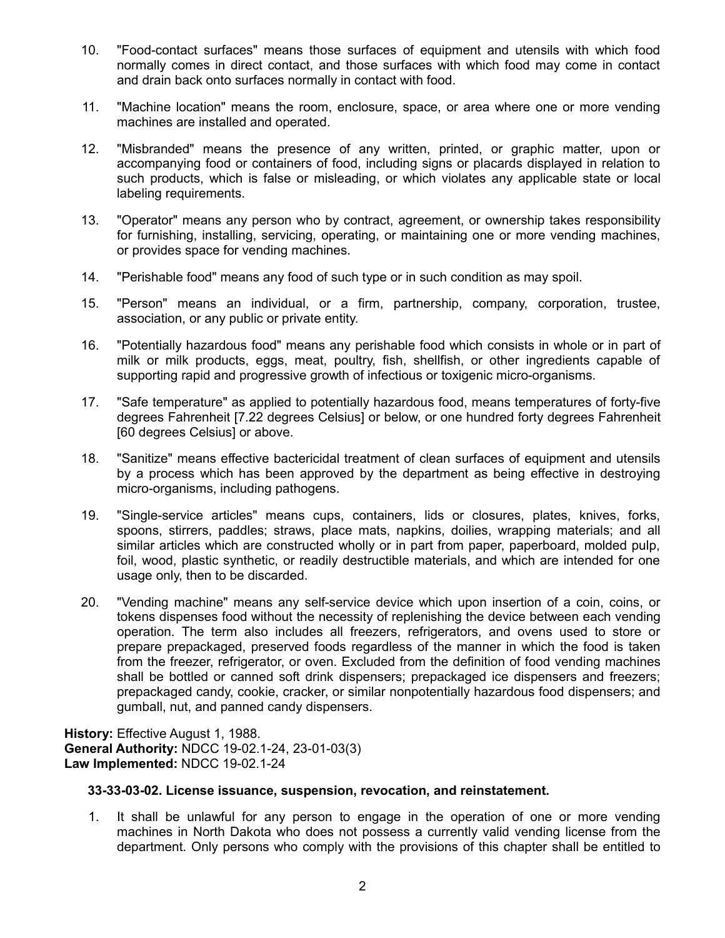- 10. "Food-contact surfaces" means those surfaces of equipment and utensils with which food normally comes in direct contact, and those surfaces with which food may come in contact and drain back onto surfaces normally in contact with food.
- 11. "Machine location" means the room, enclosure, space, or area where one or more vending machines are installed and operated.
- 12. "Misbranded" means the presence of any written, printed, or graphic matter, upon or accompanying food or containers of food, including signs or placards displayed in relation to such products, which is false or misleading, or which violates any applicable state or local labeling requirements.
- 13. "Operator" means any person who by contract, agreement, or ownership takes responsibility for furnishing, installing, servicing, operating, or maintaining one or more vending machines, or provides space for vending machines.
- 14. "Perishable food" means any food of such type or in such condition as may spoil.
- 15. "Person" means an individual, or a firm, partnership, company, corporation, trustee, association, or any public or private entity.
- 16. "Potentially hazardous food" means any perishable food which consists in whole or in part of milk or milk products, eggs, meat, poultry, fish, shellfish, or other ingredients capable of supporting rapid and progressive growth of infectious or toxigenic micro-organisms.
- 17. "Safe temperature" as applied to potentially hazardous food, means temperatures of forty-five degrees Fahrenheit [7.22 degrees Celsius] or below, or one hundred forty degrees Fahrenheit [60 degrees Celsius] or above.
- 18. "Sanitize" means effective bactericidal treatment of clean surfaces of equipment and utensils by a process which has been approved by the department as being effective in destroying micro-organisms, including pathogens.
- 19. "Single-service articles" means cups, containers, lids or closures, plates, knives, forks, spoons, stirrers, paddles; straws, place mats, napkins, doilies, wrapping materials; and all similar articles which are constructed wholly or in part from paper, paperboard, molded pulp, foil, wood, plastic synthetic, or readily destructible materials, and which are intended for one usage only, then to be discarded.
- 20. "Vending machine" means any self-service device which upon insertion of a coin, coins, or tokens dispenses food without the necessity of replenishing the device between each vending operation. The term also includes all freezers, refrigerators, and ovens used to store or prepare prepackaged, preserved foods regardless of the manner in which the food is taken from the freezer, refrigerator, or oven. Excluded from the definition of food vending machines shall be bottled or canned soft drink dispensers; prepackaged ice dispensers and freezers; prepackaged candy, cookie, cracker, or similar nonpotentially hazardous food dispensers; and gumball, nut, and panned candy dispensers.

**History:** Effective August 1, 1988. **General Authority:** NDCC 19-02.1-24, 23-01-03(3) **Law Implemented:** NDCC 19-02.1-24

#### **33-33-03-02. License issuance, suspension, revocation, and reinstatement.**

1. It shall be unlawful for any person to engage in the operation of one or more vending machines in North Dakota who does not possess a currently valid vending license from the department. Only persons who comply with the provisions of this chapter shall be entitled to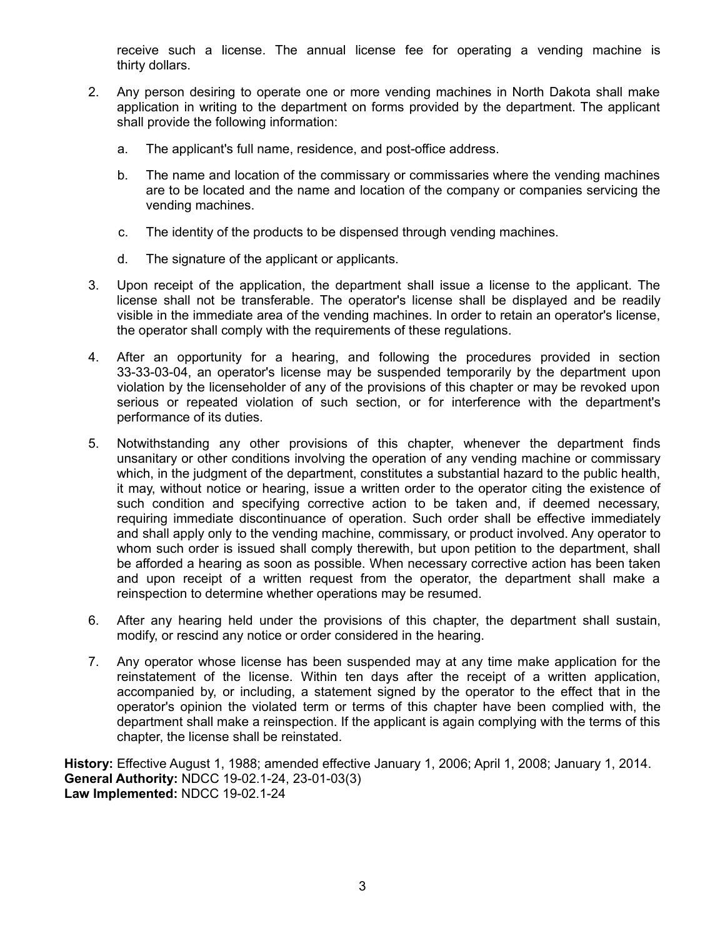receive such a license. The annual license fee for operating a vending machine is thirty dollars.

- 2. Any person desiring to operate one or more vending machines in North Dakota shall make application in writing to the department on forms provided by the department. The applicant shall provide the following information:
	- a. The applicant's full name, residence, and post-office address.
	- b. The name and location of the commissary or commissaries where the vending machines are to be located and the name and location of the company or companies servicing the vending machines.
	- c. The identity of the products to be dispensed through vending machines.
	- d. The signature of the applicant or applicants.
- 3. Upon receipt of the application, the department shall issue a license to the applicant. The license shall not be transferable. The operator's license shall be displayed and be readily visible in the immediate area of the vending machines. In order to retain an operator's license, the operator shall comply with the requirements of these regulations.
- 4. After an opportunity for a hearing, and following the procedures provided in section 33-33-03-04, an operator's license may be suspended temporarily by the department upon violation by the licenseholder of any of the provisions of this chapter or may be revoked upon serious or repeated violation of such section, or for interference with the department's performance of its duties.
- 5. Notwithstanding any other provisions of this chapter, whenever the department finds unsanitary or other conditions involving the operation of any vending machine or commissary which, in the judgment of the department, constitutes a substantial hazard to the public health, it may, without notice or hearing, issue a written order to the operator citing the existence of such condition and specifying corrective action to be taken and, if deemed necessary, requiring immediate discontinuance of operation. Such order shall be effective immediately and shall apply only to the vending machine, commissary, or product involved. Any operator to whom such order is issued shall comply therewith, but upon petition to the department, shall be afforded a hearing as soon as possible. When necessary corrective action has been taken and upon receipt of a written request from the operator, the department shall make a reinspection to determine whether operations may be resumed.
- 6. After any hearing held under the provisions of this chapter, the department shall sustain, modify, or rescind any notice or order considered in the hearing.
- 7. Any operator whose license has been suspended may at any time make application for the reinstatement of the license. Within ten days after the receipt of a written application, accompanied by, or including, a statement signed by the operator to the effect that in the operator's opinion the violated term or terms of this chapter have been complied with, the department shall make a reinspection. If the applicant is again complying with the terms of this chapter, the license shall be reinstated.

**History:** Effective August 1, 1988; amended effective January 1, 2006; April 1, 2008; January 1, 2014. **General Authority:** NDCC 19-02.1-24, 23-01-03(3) **Law Implemented:** NDCC 19-02.1-24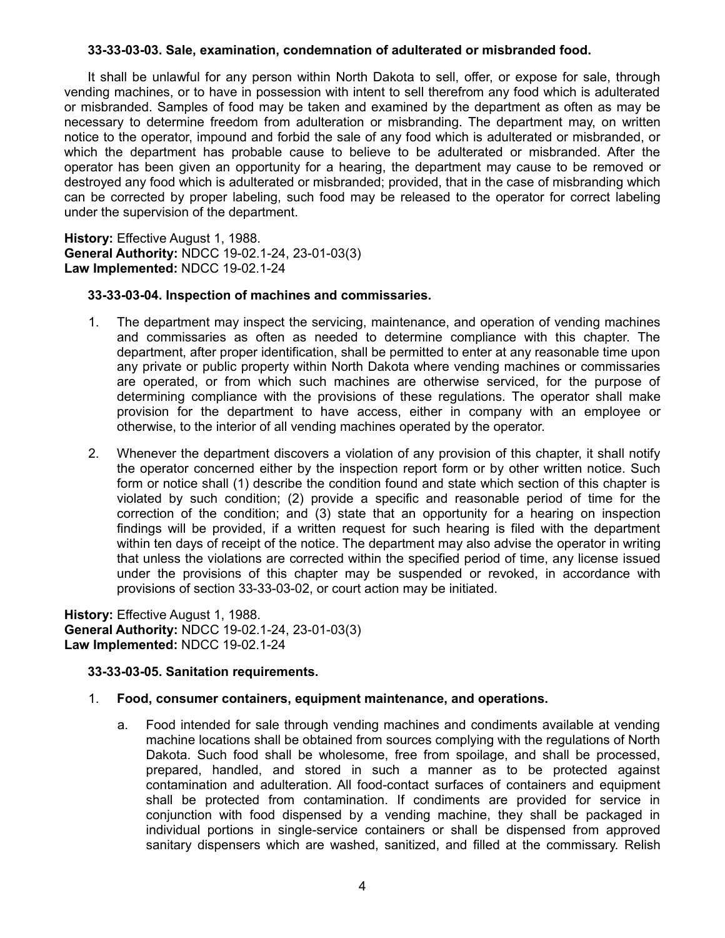### **33-33-03-03. Sale, examination, condemnation of adulterated or misbranded food.**

It shall be unlawful for any person within North Dakota to sell, offer, or expose for sale, through vending machines, or to have in possession with intent to sell therefrom any food which is adulterated or misbranded. Samples of food may be taken and examined by the department as often as may be necessary to determine freedom from adulteration or misbranding. The department may, on written notice to the operator, impound and forbid the sale of any food which is adulterated or misbranded, or which the department has probable cause to believe to be adulterated or misbranded. After the operator has been given an opportunity for a hearing, the department may cause to be removed or destroyed any food which is adulterated or misbranded; provided, that in the case of misbranding which can be corrected by proper labeling, such food may be released to the operator for correct labeling under the supervision of the department.

**History:** Effective August 1, 1988. **General Authority:** NDCC 19-02.1-24, 23-01-03(3) **Law Implemented:** NDCC 19-02.1-24

### **33-33-03-04. Inspection of machines and commissaries.**

- 1. The department may inspect the servicing, maintenance, and operation of vending machines and commissaries as often as needed to determine compliance with this chapter. The department, after proper identification, shall be permitted to enter at any reasonable time upon any private or public property within North Dakota where vending machines or commissaries are operated, or from which such machines are otherwise serviced, for the purpose of determining compliance with the provisions of these regulations. The operator shall make provision for the department to have access, either in company with an employee or otherwise, to the interior of all vending machines operated by the operator.
- 2. Whenever the department discovers a violation of any provision of this chapter, it shall notify the operator concerned either by the inspection report form or by other written notice. Such form or notice shall (1) describe the condition found and state which section of this chapter is violated by such condition; (2) provide a specific and reasonable period of time for the correction of the condition; and (3) state that an opportunity for a hearing on inspection findings will be provided, if a written request for such hearing is filed with the department within ten days of receipt of the notice. The department may also advise the operator in writing that unless the violations are corrected within the specified period of time, any license issued under the provisions of this chapter may be suspended or revoked, in accordance with provisions of section 33-33-03-02, or court action may be initiated.

**History:** Effective August 1, 1988. **General Authority:** NDCC 19-02.1-24, 23-01-03(3) **Law Implemented:** NDCC 19-02.1-24

# **33-33-03-05. Sanitation requirements.**

# 1. **Food, consumer containers, equipment maintenance, and operations.**

a. Food intended for sale through vending machines and condiments available at vending machine locations shall be obtained from sources complying with the regulations of North Dakota. Such food shall be wholesome, free from spoilage, and shall be processed, prepared, handled, and stored in such a manner as to be protected against contamination and adulteration. All food-contact surfaces of containers and equipment shall be protected from contamination. If condiments are provided for service in conjunction with food dispensed by a vending machine, they shall be packaged in individual portions in single-service containers or shall be dispensed from approved sanitary dispensers which are washed, sanitized, and filled at the commissary. Relish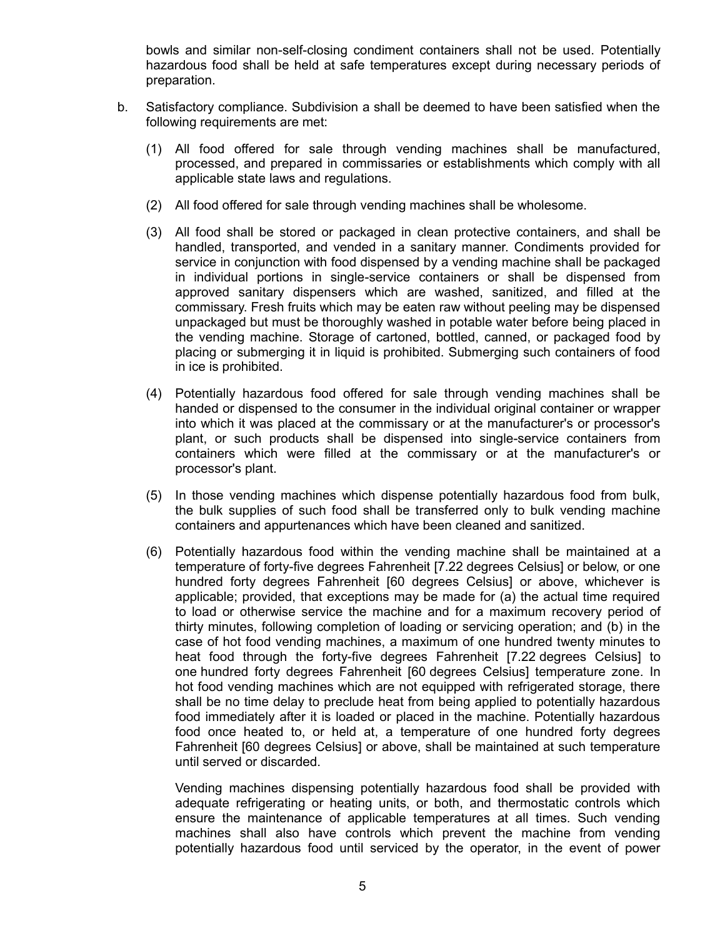bowls and similar non-self-closing condiment containers shall not be used. Potentially hazardous food shall be held at safe temperatures except during necessary periods of preparation.

- b. Satisfactory compliance. Subdivision a shall be deemed to have been satisfied when the following requirements are met:
	- (1) All food offered for sale through vending machines shall be manufactured, processed, and prepared in commissaries or establishments which comply with all applicable state laws and regulations.
	- (2) All food offered for sale through vending machines shall be wholesome.
	- (3) All food shall be stored or packaged in clean protective containers, and shall be handled, transported, and vended in a sanitary manner. Condiments provided for service in conjunction with food dispensed by a vending machine shall be packaged in individual portions in single-service containers or shall be dispensed from approved sanitary dispensers which are washed, sanitized, and filled at the commissary. Fresh fruits which may be eaten raw without peeling may be dispensed unpackaged but must be thoroughly washed in potable water before being placed in the vending machine. Storage of cartoned, bottled, canned, or packaged food by placing or submerging it in liquid is prohibited. Submerging such containers of food in ice is prohibited.
	- (4) Potentially hazardous food offered for sale through vending machines shall be handed or dispensed to the consumer in the individual original container or wrapper into which it was placed at the commissary or at the manufacturer's or processor's plant, or such products shall be dispensed into single-service containers from containers which were filled at the commissary or at the manufacturer's or processor's plant.
	- (5) In those vending machines which dispense potentially hazardous food from bulk, the bulk supplies of such food shall be transferred only to bulk vending machine containers and appurtenances which have been cleaned and sanitized.
	- (6) Potentially hazardous food within the vending machine shall be maintained at a temperature of forty-five degrees Fahrenheit [7.22 degrees Celsius] or below, or one hundred forty degrees Fahrenheit [60 degrees Celsius] or above, whichever is applicable; provided, that exceptions may be made for (a) the actual time required to load or otherwise service the machine and for a maximum recovery period of thirty minutes, following completion of loading or servicing operation; and (b) in the case of hot food vending machines, a maximum of one hundred twenty minutes to heat food through the forty-five degrees Fahrenheit [7.22 degrees Celsius] to one hundred forty degrees Fahrenheit [60 degrees Celsius] temperature zone. In hot food vending machines which are not equipped with refrigerated storage, there shall be no time delay to preclude heat from being applied to potentially hazardous food immediately after it is loaded or placed in the machine. Potentially hazardous food once heated to, or held at, a temperature of one hundred forty degrees Fahrenheit [60 degrees Celsius] or above, shall be maintained at such temperature until served or discarded.

Vending machines dispensing potentially hazardous food shall be provided with adequate refrigerating or heating units, or both, and thermostatic controls which ensure the maintenance of applicable temperatures at all times. Such vending machines shall also have controls which prevent the machine from vending potentially hazardous food until serviced by the operator, in the event of power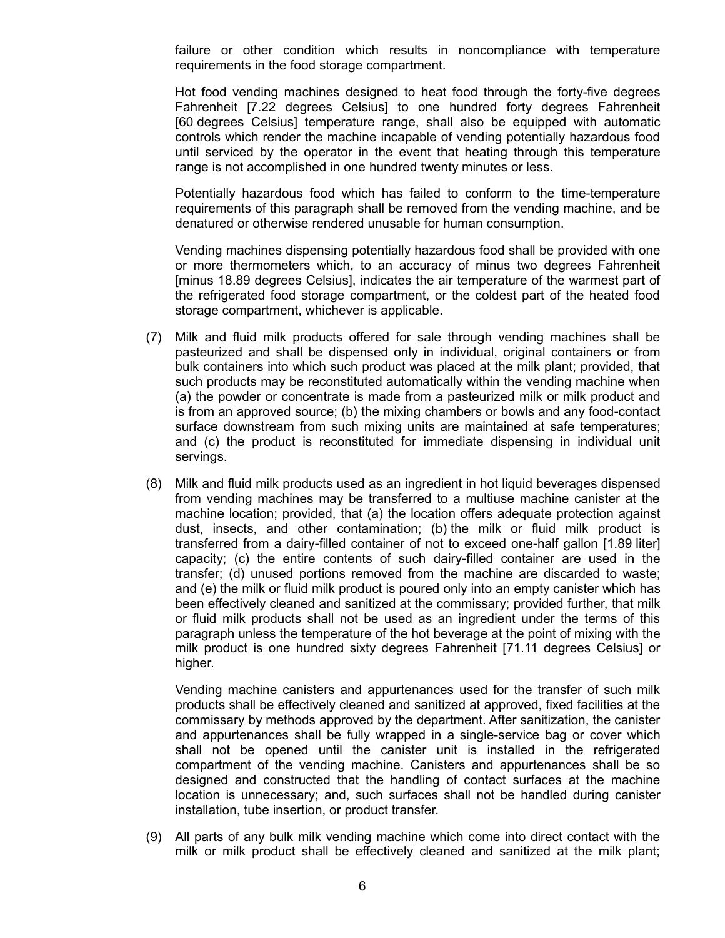failure or other condition which results in noncompliance with temperature requirements in the food storage compartment.

Hot food vending machines designed to heat food through the forty-five degrees Fahrenheit [7.22 degrees Celsius] to one hundred forty degrees Fahrenheit [60 degrees Celsius] temperature range, shall also be equipped with automatic controls which render the machine incapable of vending potentially hazardous food until serviced by the operator in the event that heating through this temperature range is not accomplished in one hundred twenty minutes or less.

Potentially hazardous food which has failed to conform to the time-temperature requirements of this paragraph shall be removed from the vending machine, and be denatured or otherwise rendered unusable for human consumption.

Vending machines dispensing potentially hazardous food shall be provided with one or more thermometers which, to an accuracy of minus two degrees Fahrenheit [minus 18.89 degrees Celsius], indicates the air temperature of the warmest part of the refrigerated food storage compartment, or the coldest part of the heated food storage compartment, whichever is applicable.

- (7) Milk and fluid milk products offered for sale through vending machines shall be pasteurized and shall be dispensed only in individual, original containers or from bulk containers into which such product was placed at the milk plant; provided, that such products may be reconstituted automatically within the vending machine when (a) the powder or concentrate is made from a pasteurized milk or milk product and is from an approved source; (b) the mixing chambers or bowls and any food-contact surface downstream from such mixing units are maintained at safe temperatures; and (c) the product is reconstituted for immediate dispensing in individual unit servings.
- (8) Milk and fluid milk products used as an ingredient in hot liquid beverages dispensed from vending machines may be transferred to a multiuse machine canister at the machine location; provided, that (a) the location offers adequate protection against dust, insects, and other contamination; (b) the milk or fluid milk product is transferred from a dairy-filled container of not to exceed one-half gallon [1.89 liter] capacity; (c) the entire contents of such dairy-filled container are used in the transfer; (d) unused portions removed from the machine are discarded to waste; and (e) the milk or fluid milk product is poured only into an empty canister which has been effectively cleaned and sanitized at the commissary; provided further, that milk or fluid milk products shall not be used as an ingredient under the terms of this paragraph unless the temperature of the hot beverage at the point of mixing with the milk product is one hundred sixty degrees Fahrenheit [71.11 degrees Celsius] or higher.

Vending machine canisters and appurtenances used for the transfer of such milk products shall be effectively cleaned and sanitized at approved, fixed facilities at the commissary by methods approved by the department. After sanitization, the canister and appurtenances shall be fully wrapped in a single-service bag or cover which shall not be opened until the canister unit is installed in the refrigerated compartment of the vending machine. Canisters and appurtenances shall be so designed and constructed that the handling of contact surfaces at the machine location is unnecessary; and, such surfaces shall not be handled during canister installation, tube insertion, or product transfer.

(9) All parts of any bulk milk vending machine which come into direct contact with the milk or milk product shall be effectively cleaned and sanitized at the milk plant;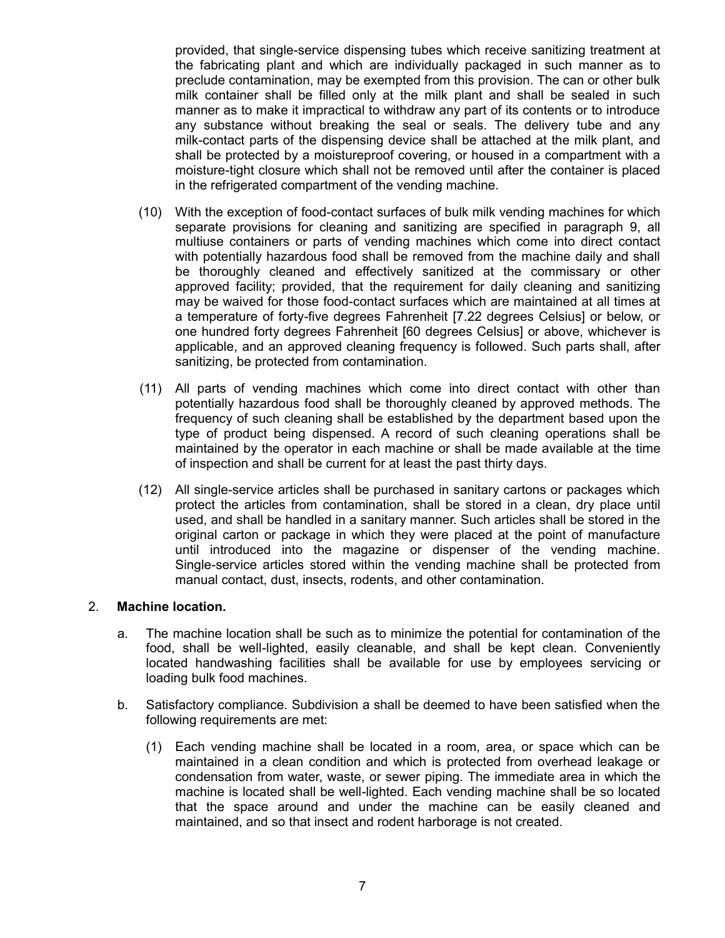provided, that single-service dispensing tubes which receive sanitizing treatment at the fabricating plant and which are individually packaged in such manner as to preclude contamination, may be exempted from this provision. The can or other bulk milk container shall be filled only at the milk plant and shall be sealed in such manner as to make it impractical to withdraw any part of its contents or to introduce any substance without breaking the seal or seals. The delivery tube and any milk-contact parts of the dispensing device shall be attached at the milk plant, and shall be protected by a moistureproof covering, or housed in a compartment with a moisture-tight closure which shall not be removed until after the container is placed in the refrigerated compartment of the vending machine.

- (10) With the exception of food-contact surfaces of bulk milk vending machines for which separate provisions for cleaning and sanitizing are specified in paragraph 9, all multiuse containers or parts of vending machines which come into direct contact with potentially hazardous food shall be removed from the machine daily and shall be thoroughly cleaned and effectively sanitized at the commissary or other approved facility; provided, that the requirement for daily cleaning and sanitizing may be waived for those food-contact surfaces which are maintained at all times at a temperature of forty-five degrees Fahrenheit [7.22 degrees Celsius] or below, or one hundred forty degrees Fahrenheit [60 degrees Celsius] or above, whichever is applicable, and an approved cleaning frequency is followed. Such parts shall, after sanitizing, be protected from contamination.
- (11) All parts of vending machines which come into direct contact with other than potentially hazardous food shall be thoroughly cleaned by approved methods. The frequency of such cleaning shall be established by the department based upon the type of product being dispensed. A record of such cleaning operations shall be maintained by the operator in each machine or shall be made available at the time of inspection and shall be current for at least the past thirty days.
- (12) All single-service articles shall be purchased in sanitary cartons or packages which protect the articles from contamination, shall be stored in a clean, dry place until used, and shall be handled in a sanitary manner. Such articles shall be stored in the original carton or package in which they were placed at the point of manufacture until introduced into the magazine or dispenser of the vending machine. Single-service articles stored within the vending machine shall be protected from manual contact, dust, insects, rodents, and other contamination.

# 2. **Machine location.**

- a. The machine location shall be such as to minimize the potential for contamination of the food, shall be well-lighted, easily cleanable, and shall be kept clean. Conveniently located handwashing facilities shall be available for use by employees servicing or loading bulk food machines.
- b. Satisfactory compliance. Subdivision a shall be deemed to have been satisfied when the following requirements are met:
	- (1) Each vending machine shall be located in a room, area, or space which can be maintained in a clean condition and which is protected from overhead leakage or condensation from water, waste, or sewer piping. The immediate area in which the machine is located shall be well-lighted. Each vending machine shall be so located that the space around and under the machine can be easily cleaned and maintained, and so that insect and rodent harborage is not created.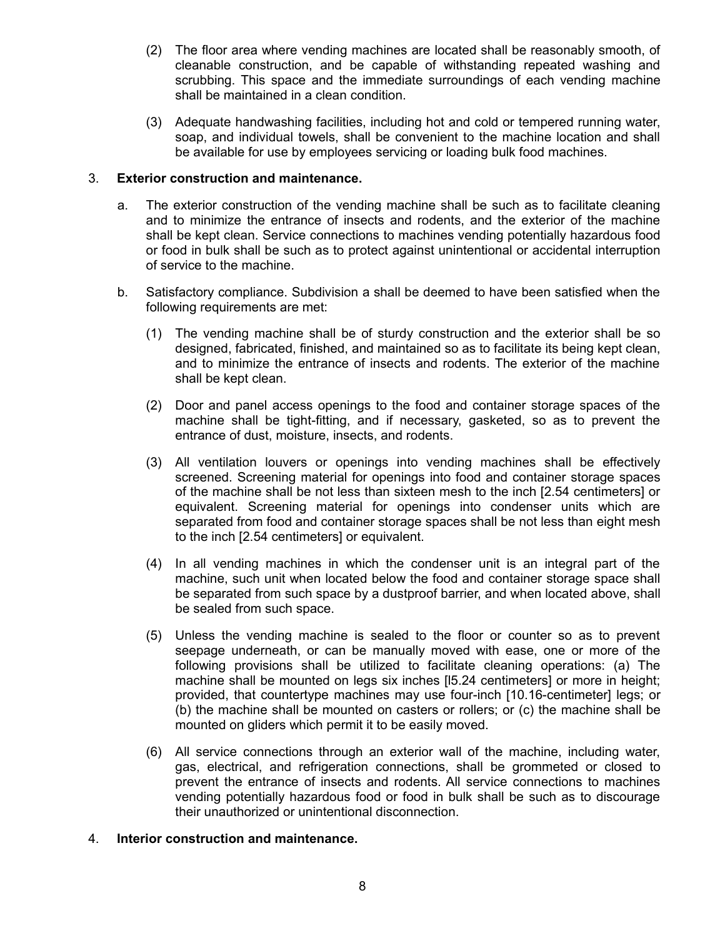- (2) The floor area where vending machines are located shall be reasonably smooth, of cleanable construction, and be capable of withstanding repeated washing and scrubbing. This space and the immediate surroundings of each vending machine shall be maintained in a clean condition.
- (3) Adequate handwashing facilities, including hot and cold or tempered running water, soap, and individual towels, shall be convenient to the machine location and shall be available for use by employees servicing or loading bulk food machines.

# 3. **Exterior construction and maintenance.**

- a. The exterior construction of the vending machine shall be such as to facilitate cleaning and to minimize the entrance of insects and rodents, and the exterior of the machine shall be kept clean. Service connections to machines vending potentially hazardous food or food in bulk shall be such as to protect against unintentional or accidental interruption of service to the machine.
- b. Satisfactory compliance. Subdivision a shall be deemed to have been satisfied when the following requirements are met:
	- (1) The vending machine shall be of sturdy construction and the exterior shall be so designed, fabricated, finished, and maintained so as to facilitate its being kept clean, and to minimize the entrance of insects and rodents. The exterior of the machine shall be kept clean.
	- (2) Door and panel access openings to the food and container storage spaces of the machine shall be tight-fitting, and if necessary, gasketed, so as to prevent the entrance of dust, moisture, insects, and rodents.
	- (3) All ventilation louvers or openings into vending machines shall be effectively screened. Screening material for openings into food and container storage spaces of the machine shall be not less than sixteen mesh to the inch [2.54 centimeters] or equivalent. Screening material for openings into condenser units which are separated from food and container storage spaces shall be not less than eight mesh to the inch [2.54 centimeters] or equivalent.
	- (4) In all vending machines in which the condenser unit is an integral part of the machine, such unit when located below the food and container storage space shall be separated from such space by a dustproof barrier, and when located above, shall be sealed from such space.
	- (5) Unless the vending machine is sealed to the floor or counter so as to prevent seepage underneath, or can be manually moved with ease, one or more of the following provisions shall be utilized to facilitate cleaning operations: (a) The machine shall be mounted on legs six inches [l5.24 centimeters] or more in height; provided, that countertype machines may use four-inch [10.16-centimeter] legs; or (b) the machine shall be mounted on casters or rollers; or (c) the machine shall be mounted on gliders which permit it to be easily moved.
	- (6) All service connections through an exterior wall of the machine, including water, gas, electrical, and refrigeration connections, shall be grommeted or closed to prevent the entrance of insects and rodents. All service connections to machines vending potentially hazardous food or food in bulk shall be such as to discourage their unauthorized or unintentional disconnection.

#### 4. **Interior construction and maintenance.**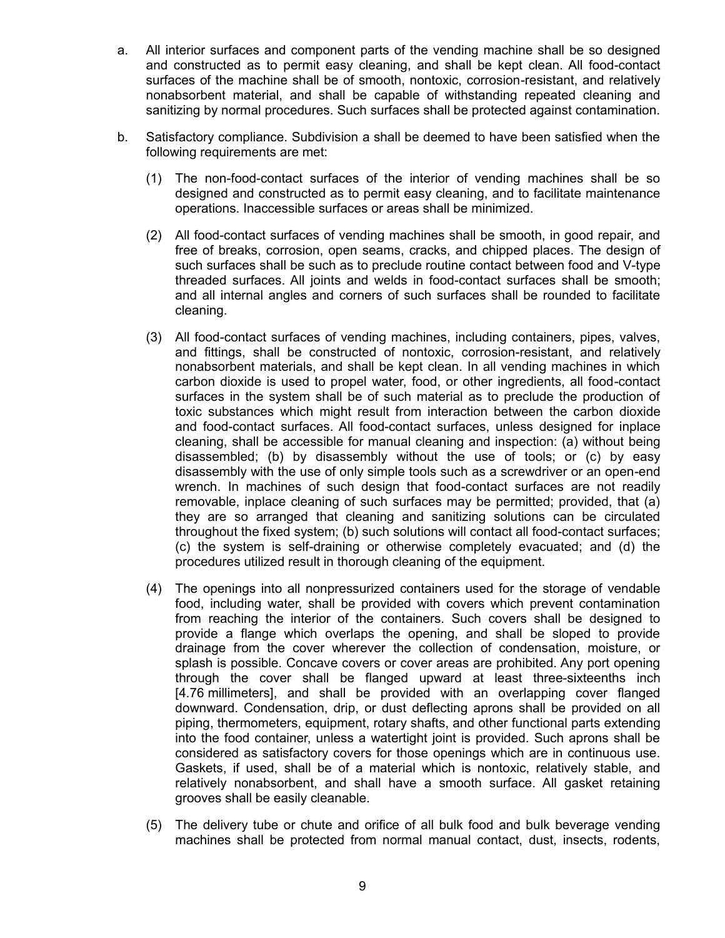- a. All interior surfaces and component parts of the vending machine shall be so designed and constructed as to permit easy cleaning, and shall be kept clean. All food-contact surfaces of the machine shall be of smooth, nontoxic, corrosion-resistant, and relatively nonabsorbent material, and shall be capable of withstanding repeated cleaning and sanitizing by normal procedures. Such surfaces shall be protected against contamination.
- b. Satisfactory compliance. Subdivision a shall be deemed to have been satisfied when the following requirements are met:
	- (1) The non-food-contact surfaces of the interior of vending machines shall be so designed and constructed as to permit easy cleaning, and to facilitate maintenance operations. Inaccessible surfaces or areas shall be minimized.
	- (2) All food-contact surfaces of vending machines shall be smooth, in good repair, and free of breaks, corrosion, open seams, cracks, and chipped places. The design of such surfaces shall be such as to preclude routine contact between food and V-type threaded surfaces. All joints and welds in food-contact surfaces shall be smooth; and all internal angles and corners of such surfaces shall be rounded to facilitate cleaning.
	- (3) All food-contact surfaces of vending machines, including containers, pipes, valves, and fittings, shall be constructed of nontoxic, corrosion-resistant, and relatively nonabsorbent materials, and shall be kept clean. In all vending machines in which carbon dioxide is used to propel water, food, or other ingredients, all food-contact surfaces in the system shall be of such material as to preclude the production of toxic substances which might result from interaction between the carbon dioxide and food-contact surfaces. All food-contact surfaces, unless designed for inplace cleaning, shall be accessible for manual cleaning and inspection: (a) without being disassembled; (b) by disassembly without the use of tools; or (c) by easy disassembly with the use of only simple tools such as a screwdriver or an open-end wrench. In machines of such design that food-contact surfaces are not readily removable, inplace cleaning of such surfaces may be permitted; provided, that (a) they are so arranged that cleaning and sanitizing solutions can be circulated throughout the fixed system; (b) such solutions will contact all food-contact surfaces; (c) the system is self-draining or otherwise completely evacuated; and (d) the procedures utilized result in thorough cleaning of the equipment.
	- (4) The openings into all nonpressurized containers used for the storage of vendable food, including water, shall be provided with covers which prevent contamination from reaching the interior of the containers. Such covers shall be designed to provide a flange which overlaps the opening, and shall be sloped to provide drainage from the cover wherever the collection of condensation, moisture, or splash is possible. Concave covers or cover areas are prohibited. Any port opening through the cover shall be flanged upward at least three-sixteenths inch [4.76 millimeters], and shall be provided with an overlapping cover flanged downward. Condensation, drip, or dust deflecting aprons shall be provided on all piping, thermometers, equipment, rotary shafts, and other functional parts extending into the food container, unless a watertight joint is provided. Such aprons shall be considered as satisfactory covers for those openings which are in continuous use. Gaskets, if used, shall be of a material which is nontoxic, relatively stable, and relatively nonabsorbent, and shall have a smooth surface. All gasket retaining grooves shall be easily cleanable.
	- (5) The delivery tube or chute and orifice of all bulk food and bulk beverage vending machines shall be protected from normal manual contact, dust, insects, rodents,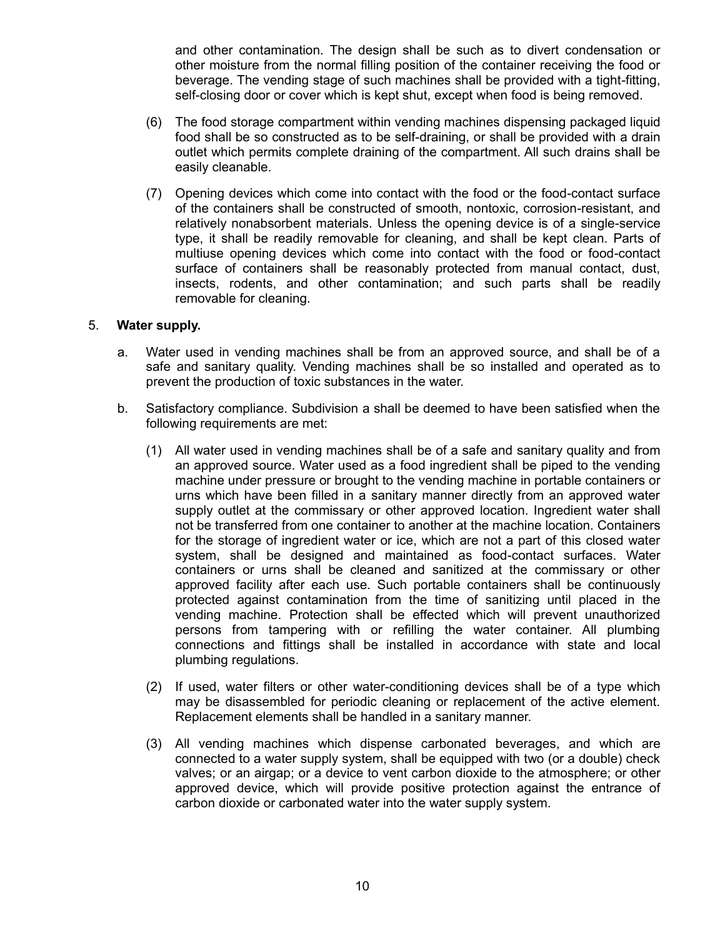and other contamination. The design shall be such as to divert condensation or other moisture from the normal filling position of the container receiving the food or beverage. The vending stage of such machines shall be provided with a tight-fitting, self-closing door or cover which is kept shut, except when food is being removed.

- (6) The food storage compartment within vending machines dispensing packaged liquid food shall be so constructed as to be self-draining, or shall be provided with a drain outlet which permits complete draining of the compartment. All such drains shall be easily cleanable.
- (7) Opening devices which come into contact with the food or the food-contact surface of the containers shall be constructed of smooth, nontoxic, corrosion-resistant, and relatively nonabsorbent materials. Unless the opening device is of a single-service type, it shall be readily removable for cleaning, and shall be kept clean. Parts of multiuse opening devices which come into contact with the food or food-contact surface of containers shall be reasonably protected from manual contact, dust, insects, rodents, and other contamination; and such parts shall be readily removable for cleaning.

### 5. **Water supply.**

- a. Water used in vending machines shall be from an approved source, and shall be of a safe and sanitary quality. Vending machines shall be so installed and operated as to prevent the production of toxic substances in the water.
- b. Satisfactory compliance. Subdivision a shall be deemed to have been satisfied when the following requirements are met:
	- (1) All water used in vending machines shall be of a safe and sanitary quality and from an approved source. Water used as a food ingredient shall be piped to the vending machine under pressure or brought to the vending machine in portable containers or urns which have been filled in a sanitary manner directly from an approved water supply outlet at the commissary or other approved location. Ingredient water shall not be transferred from one container to another at the machine location. Containers for the storage of ingredient water or ice, which are not a part of this closed water system, shall be designed and maintained as food-contact surfaces. Water containers or urns shall be cleaned and sanitized at the commissary or other approved facility after each use. Such portable containers shall be continuously protected against contamination from the time of sanitizing until placed in the vending machine. Protection shall be effected which will prevent unauthorized persons from tampering with or refilling the water container. All plumbing connections and fittings shall be installed in accordance with state and local plumbing regulations.
	- (2) If used, water filters or other water-conditioning devices shall be of a type which may be disassembled for periodic cleaning or replacement of the active element. Replacement elements shall be handled in a sanitary manner.
	- (3) All vending machines which dispense carbonated beverages, and which are connected to a water supply system, shall be equipped with two (or a double) check valves; or an airgap; or a device to vent carbon dioxide to the atmosphere; or other approved device, which will provide positive protection against the entrance of carbon dioxide or carbonated water into the water supply system.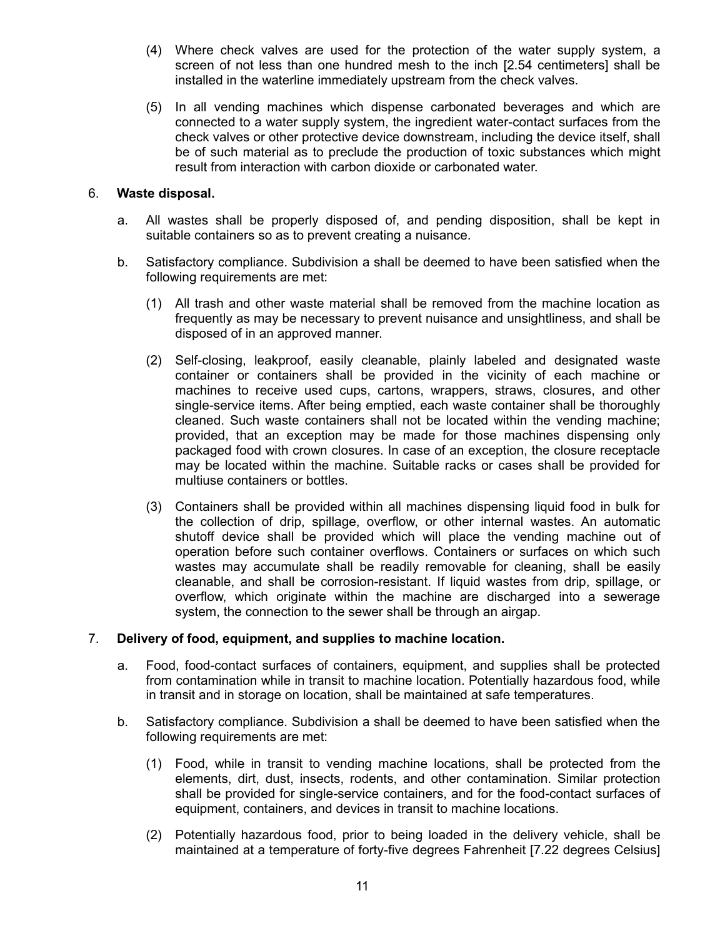- (4) Where check valves are used for the protection of the water supply system, a screen of not less than one hundred mesh to the inch [2.54 centimeters] shall be installed in the waterline immediately upstream from the check valves.
- (5) In all vending machines which dispense carbonated beverages and which are connected to a water supply system, the ingredient water-contact surfaces from the check valves or other protective device downstream, including the device itself, shall be of such material as to preclude the production of toxic substances which might result from interaction with carbon dioxide or carbonated water.

# 6. **Waste disposal.**

- a. All wastes shall be properly disposed of, and pending disposition, shall be kept in suitable containers so as to prevent creating a nuisance.
- b. Satisfactory compliance. Subdivision a shall be deemed to have been satisfied when the following requirements are met:
	- (1) All trash and other waste material shall be removed from the machine location as frequently as may be necessary to prevent nuisance and unsightliness, and shall be disposed of in an approved manner.
	- (2) Self-closing, leakproof, easily cleanable, plainly labeled and designated waste container or containers shall be provided in the vicinity of each machine or machines to receive used cups, cartons, wrappers, straws, closures, and other single-service items. After being emptied, each waste container shall be thoroughly cleaned. Such waste containers shall not be located within the vending machine; provided, that an exception may be made for those machines dispensing only packaged food with crown closures. In case of an exception, the closure receptacle may be located within the machine. Suitable racks or cases shall be provided for multiuse containers or bottles.
	- (3) Containers shall be provided within all machines dispensing liquid food in bulk for the collection of drip, spillage, overflow, or other internal wastes. An automatic shutoff device shall be provided which will place the vending machine out of operation before such container overflows. Containers or surfaces on which such wastes may accumulate shall be readily removable for cleaning, shall be easily cleanable, and shall be corrosion-resistant. If liquid wastes from drip, spillage, or overflow, which originate within the machine are discharged into a sewerage system, the connection to the sewer shall be through an airgap.

#### 7. **Delivery of food, equipment, and supplies to machine location.**

- a. Food, food-contact surfaces of containers, equipment, and supplies shall be protected from contamination while in transit to machine location. Potentially hazardous food, while in transit and in storage on location, shall be maintained at safe temperatures.
- b. Satisfactory compliance. Subdivision a shall be deemed to have been satisfied when the following requirements are met:
	- (1) Food, while in transit to vending machine locations, shall be protected from the elements, dirt, dust, insects, rodents, and other contamination. Similar protection shall be provided for single-service containers, and for the food-contact surfaces of equipment, containers, and devices in transit to machine locations.
	- (2) Potentially hazardous food, prior to being loaded in the delivery vehicle, shall be maintained at a temperature of forty-five degrees Fahrenheit [7.22 degrees Celsius]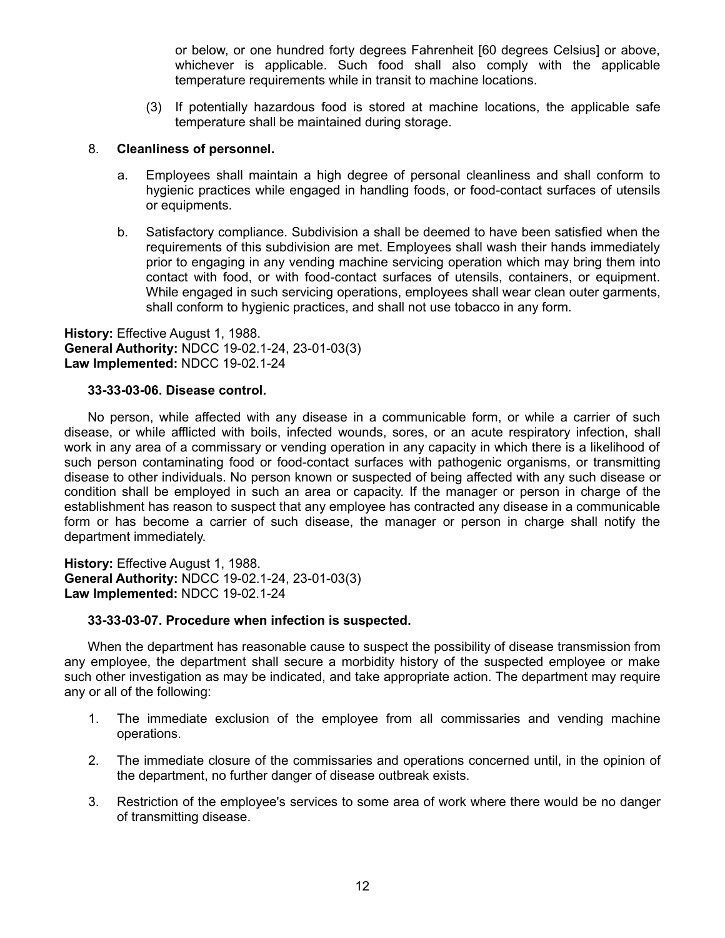or below, or one hundred forty degrees Fahrenheit [60 degrees Celsius] or above, whichever is applicable. Such food shall also comply with the applicable temperature requirements while in transit to machine locations.

(3) If potentially hazardous food is stored at machine locations, the applicable safe temperature shall be maintained during storage.

### 8. **Cleanliness of personnel.**

- a. Employees shall maintain a high degree of personal cleanliness and shall conform to hygienic practices while engaged in handling foods, or food-contact surfaces of utensils or equipments.
- b. Satisfactory compliance. Subdivision a shall be deemed to have been satisfied when the requirements of this subdivision are met. Employees shall wash their hands immediately prior to engaging in any vending machine servicing operation which may bring them into contact with food, or with food-contact surfaces of utensils, containers, or equipment. While engaged in such servicing operations, employees shall wear clean outer garments, shall conform to hygienic practices, and shall not use tobacco in any form.

**History:** Effective August 1, 1988. **General Authority:** NDCC 19-02.1-24, 23-01-03(3) **Law Implemented:** NDCC 19-02.1-24

### **33-33-03-06. Disease control.**

No person, while affected with any disease in a communicable form, or while a carrier of such disease, or while afflicted with boils, infected wounds, sores, or an acute respiratory infection, shall work in any area of a commissary or vending operation in any capacity in which there is a likelihood of such person contaminating food or food-contact surfaces with pathogenic organisms, or transmitting disease to other individuals. No person known or suspected of being affected with any such disease or condition shall be employed in such an area or capacity. If the manager or person in charge of the establishment has reason to suspect that any employee has contracted any disease in a communicable form or has become a carrier of such disease, the manager or person in charge shall notify the department immediately.

**History:** Effective August 1, 1988. **General Authority:** NDCC 19-02.1-24, 23-01-03(3) **Law Implemented:** NDCC 19-02.1-24

#### **33-33-03-07. Procedure when infection is suspected.**

When the department has reasonable cause to suspect the possibility of disease transmission from any employee, the department shall secure a morbidity history of the suspected employee or make such other investigation as may be indicated, and take appropriate action. The department may require any or all of the following:

- 1. The immediate exclusion of the employee from all commissaries and vending machine operations.
- 2. The immediate closure of the commissaries and operations concerned until, in the opinion of the department, no further danger of disease outbreak exists.
- 3. Restriction of the employee's services to some area of work where there would be no danger of transmitting disease.